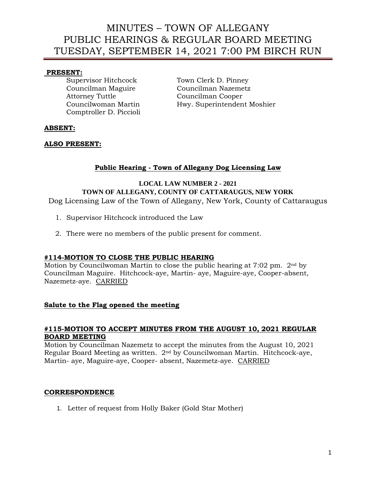## **PRESENT:**

Attorney Tuttle Councilman Cooper Comptroller D. Piccioli

Supervisor Hitchcock Town Clerk D. Pinney Councilman Maguire Councilman Nazemetz Councilwoman Martin Hwy. Superintendent Moshier

## **ABSENT:**

## **ALSO PRESENT:**

# **Public Hearing - Town of Allegany Dog Licensing Law**

### **LOCAL LAW NUMBER 2 - 2021 TOWN OF ALLEGANY, COUNTY OF CATTARAUGUS, NEW YORK**  Dog Licensing Law of the Town of Allegany, New York, County of Cattaraugus

- 1. Supervisor Hitchcock introduced the Law
- 2. There were no members of the public present for comment.

## **#114-MOTION TO CLOSE THE PUBLIC HEARING**

Motion by Councilwoman Martin to close the public hearing at 7:02 pm. 2nd by Councilman Maguire. Hitchcock-aye, Martin- aye, Maguire-aye, Cooper-absent, Nazemetz-aye. CARRIED

### **Salute to the Flag opened the meeting**

#### **#115-MOTION TO ACCEPT MINUTES FROM THE AUGUST 10, 2021 REGULAR BOARD MEETING**

Motion by Councilman Nazemetz to accept the minutes from the August 10, 2021 Regular Board Meeting as written. 2nd by Councilwoman Martin. Hitchcock-aye, Martin- aye, Maguire-aye, Cooper- absent, Nazemetz-aye. CARRIED

### **CORRESPONDENCE**

1. Letter of request from Holly Baker (Gold Star Mother)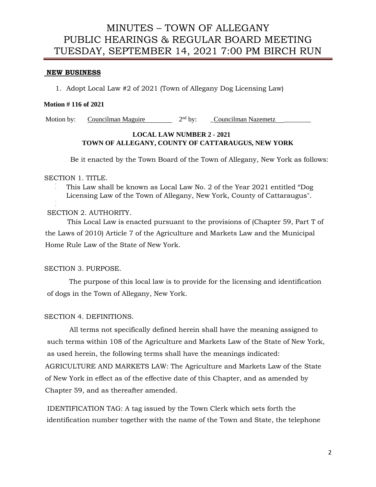#### **NEW BUSINESS**

1. Adopt Local Law #2 of 2021 (Town of Allegany Dog Licensing Law)

#### **Motion # 116 of 2021**

Motion by: Councilman Maguire  $2<sup>nd</sup>$  by: \_Councilman Nazemetz

#### **LOCAL LAW NUMBER 2 - 2021 TOWN OF ALLEGANY, COUNTY OF CATTARAUGUS, NEW YORK**

Be it enacted by the Town Board of the Town of Allegany, New York as follows:

#### SECTION 1. TITLE.

This Law shall be known as Local Law No. 2 of the Year 2021 entitled "Dog Licensing Law of the Town of Allegany, New York, County of Cattaraugus".

### SECTION 2. AUTHORITY.

This Local Law is enacted pursuant to the provisions of (Chapter 59, Part T of the Laws of 2010) Article 7 of the Agriculture and Markets Law and the Municipal Home Rule Law of the State of New York.

### SECTION 3. PURPOSE.

The purpose of this local law is to provide for the licensing and identification of dogs in the Town of Allegany, New York.

### SECTION 4. DEFINITIONS.

All terms not specifically defined herein shall have the meaning assigned to such terms within 108 of the Agriculture and Markets Law of the State of New York, as used herein, the following terms shall have the meanings indicated: AGRICULTURE AND MARKETS LAW: The Agriculture and Markets Law of the State of New York in effect as of the effective date of this Chapter, and as amended by Chapter 59, and as thereafter amended.

IDENTIFICATION TAG: A tag issued by the Town Clerk which sets forth the identification number together with the name of the Town and State, the telephone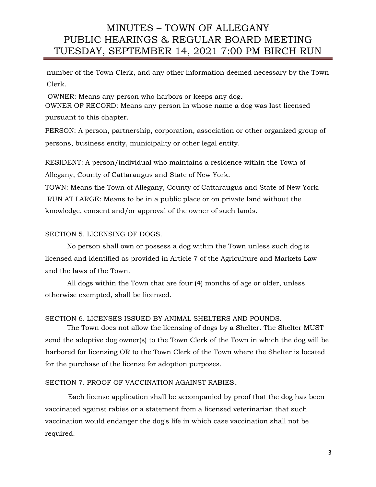number of the Town Clerk, and any other information deemed necessary by the Town Clerk.

OWNER: Means any person who harbors or keeps any dog. OWNER OF RECORD: Means any person in whose name a dog was last licensed pursuant to this chapter.

PERSON: A person, partnership, corporation, association or other organized group of persons, business entity, municipality or other legal entity.

RESIDENT: A person/individual who maintains a residence within the Town of Allegany, County of Cattaraugus and State of New York.

TOWN: Means the Town of Allegany, County of Cattaraugus and State of New York. RUN AT LARGE: Means to be in a public place or on private land without the knowledge, consent and/or approval of the owner of such lands.

#### SECTION 5. LICENSING OF DOGS.

No person shall own or possess a dog within the Town unless such dog is licensed and identified as provided in Article 7 of the Agriculture and Markets Law and the laws of the Town.

All dogs within the Town that are four (4) months of age or older, unless otherwise exempted, shall be licensed.

### SECTION 6. LICENSES ISSUED BY ANIMAL SHELTERS AND POUNDS.

The Town does not allow the licensing of dogs by a Shelter. The Shelter MUST send the adoptive dog owner(s) to the Town Clerk of the Town in which the dog will be harbored for licensing OR to the Town Clerk of the Town where the Shelter is located for the purchase of the license for adoption purposes.

### SECTION 7. PROOF OF VACCINATION AGAINST RABIES.

Each license application shall be accompanied by proof that the dog has been vaccinated against rabies or a statement from a licensed veterinarian that such vaccination would endanger the dog's life in which case vaccination shall not be required.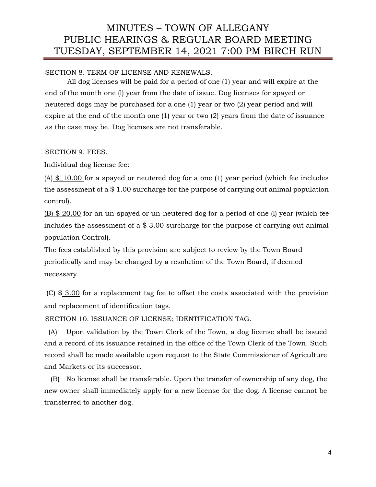SECTION 8. TERM OF LICENSE AND RENEWALS.

All dog licenses will be paid for a period of one (1) year and will expire at the end of the month one (l) year from the date of issue. Dog licenses for spayed or neutered dogs may be purchased for a one (1) year or two (2) year period and will expire at the end of the month one (1) year or two (2) years from the date of issuance as the case may be. Dog licenses are not transferable.

SECTION 9. FEES.

Individual dog license fee:

 $(A)$  \$ 10.00 for a spayed or neutered dog for a one (1) year period (which fee includes the assessment of a \$ 1.00 surcharge for the purpose of carrying out animal population control).

(B) \$ 20.00 for an un-spayed or un-neutered dog for a period of one (l) year (which fee includes the assessment of a \$ 3.00 surcharge for the purpose of carrying out animal population Control).

The fees established by this provision are subject to review by the Town Board periodically and may be changed by a resolution of the Town Board, if deemed necessary.

(C) \$ 3.00 for a replacement tag fee to offset the costs associated with the provision and replacement of identification tags.

SECTION 10. ISSUANCE OF LICENSE; IDENTIFICATION TAG.

 (A) Upon validation by the Town Clerk of the Town, a dog license shall be issued and a record of its issuance retained in the office of the Town Clerk of the Town. Such record shall be made available upon request to the State Commissioner of Agriculture and Markets or its successor.

 (B) No license shall be transferable. Upon the transfer of ownership of any dog, the new owner shall immediately apply for a new license for the dog. A license cannot be transferred to another dog.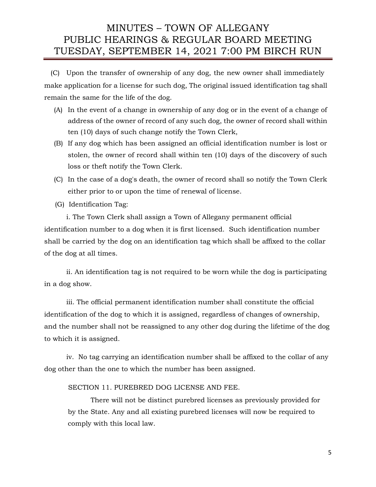(C) Upon the transfer of ownership of any dog, the new owner shall immediately make application for a license for such dog, The original issued identification tag shall remain the same for the life of the dog.

- (A) In the event of a change in ownership of any dog or in the event of a change of address of the owner of record of any such dog, the owner of record shall within ten (10) days of such change notify the Town Clerk,
- (B) If any dog which has been assigned an official identification number is lost or stolen, the owner of record shall within ten (10) days of the discovery of such loss or theft notify the Town Clerk.
- (C) In the case of a dog's death, the owner of record shall so notify the Town Clerk either prior to or upon the time of renewal of license.
- (G) Identification Tag:

i. The Town Clerk shall assign a Town of Allegany permanent official identification number to a dog when it is first licensed. Such identification number shall be carried by the dog on an identification tag which shall be affixed to the collar of the dog at all times.

ii. An identification tag is not required to be worn while the dog is participating in a dog show.

iii. The official permanent identification number shall constitute the official identification of the dog to which it is assigned, regardless of changes of ownership, and the number shall not be reassigned to any other dog during the lifetime of the dog to which it is assigned.

iv. No tag carrying an identification number shall be affixed to the collar of any dog other than the one to which the number has been assigned.

#### SECTION 11. PUREBRED DOG LICENSE AND FEE.

There will not be distinct purebred licenses as previously provided for by the State. Any and all existing purebred licenses will now be required to comply with this local law.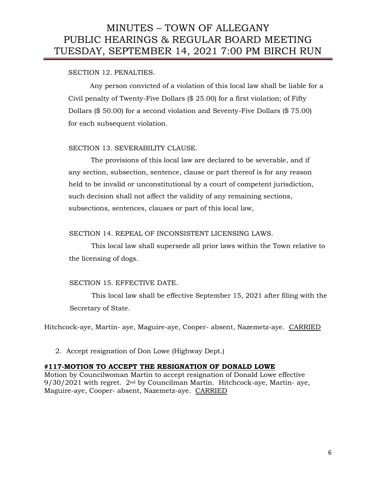## SECTION 12. PENALTIES.

Any person convicted of a violation of this local law shall be liable for a Civil penalty of Twenty-Five Dollars (\$ 25.00) for a first violation; of Fifty Dollars (\$ 50.00) for a second violation and Seventy-Five Dollars (\$ 75.00) for each subsequent violation.

## SECTION 13. SEVERABILITY CLAUSE.

The provisions of this local law are declared to be severable, and if any section, subsection, sentence, clause or part thereof is for any reason held to be invalid or unconstitutional by a court of competent jurisdiction, such decision shall not affect the validity of any remaining sections, subsections, sentences, clauses or part of this local law,

### SECTION 14. REPEAL OF INCONSISTENT LICENSING LAWS.

This local law shall supersede all prior laws within the Town relative to the licensing of dogs.

### SECTION 15. EFFECTIVE DATE.

This local law shall be effective September 15, 2021 after filing with the Secretary of State.

Hitchcock-aye, Martin- aye, Maguire-aye, Cooper- absent, Nazemetz-aye. CARRIED

2. Accept resignation of Don Lowe (Highway Dept.)

### **#117-MOTION TO ACCEPT THE RESIGNATION OF DONALD LOWE**

Motion by Councilwoman Martin to accept resignation of Donald Lowe effective 9/30/2021 with regret. 2nd by Councilman Martin. Hitchcock-aye, Martin- aye, Maguire-aye, Cooper- absent, Nazemetz-aye. CARRIED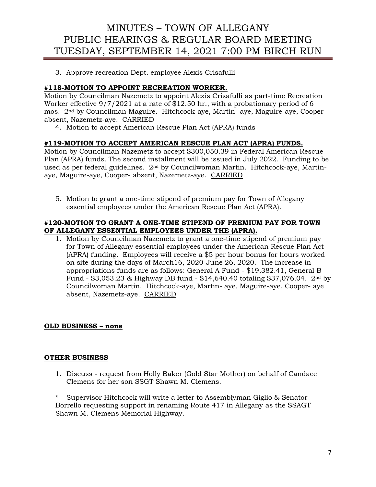3. Approve recreation Dept. employee Alexis Crisafulli

## **#118-MOTION TO APPOINT RECREATION WORKER.**

Motion by Councilman Nazemetz to appoint Alexis Crisafulli as part-time Recreation Worker effective 9/7/2021 at a rate of \$12.50 hr., with a probationary period of 6 mos. 2nd by Councilman Maguire. Hitchcock-aye, Martin- aye, Maguire-aye, Cooperabsent, Nazemetz-aye. CARRIED

4. Motion to accept American Rescue Plan Act (APRA) funds

## **#119-MOTION TO ACCEPT AMERICAN RESCUE PLAN ACT (APRA) FUNDS.**

Motion by Councilman Nazemetz to accept \$300,050.39 in Federal American Rescue Plan (APRA) funds. The second installment will be issued in July 2022. Funding to be used as per federal guidelines. 2nd by Councilwoman Martin. Hitchcock-aye, Martinaye, Maguire-aye, Cooper- absent, Nazemetz-aye. CARRIED

5. Motion to grant a one-time stipend of premium pay for Town of Allegany essential employees under the American Rescue Plan Act (APRA).

### **#120-MOTION TO GRANT A ONE-TIME STIPEND OF PREMIUM PAY FOR TOWN OF ALLEGANY ESSENTIAL EMPLOYEES UNDER THE (APRA).**

1. Motion by Councilman Nazemetz to grant a one-time stipend of premium pay for Town of Allegany essential employees under the American Rescue Plan Act (APRA) funding. Employees will receive a \$5 per hour bonus for hours worked on site during the days of March16, 2020-June 26, 2020. The increase in appropriations funds are as follows: General A Fund - \$19,382.41, General B Fund - \$3,053.23 & Highway DB fund - \$14,640.40 totaling \$37,076.04.  $2^{nd}$  by Councilwoman Martin. Hitchcock-aye, Martin- aye, Maguire-aye, Cooper- aye absent, Nazemetz-aye. CARRIED

### **OLD BUSINESS – none**

### **OTHER BUSINESS**

1. Discuss - request from Holly Baker (Gold Star Mother) on behalf of Candace Clemens for her son SSGT Shawn M. Clemens.

\* Supervisor Hitchcock will write a letter to Assemblyman Giglio & Senator Borrello requesting support in renaming Route 417 in Allegany as the SSAGT Shawn M. Clemens Memorial Highway.